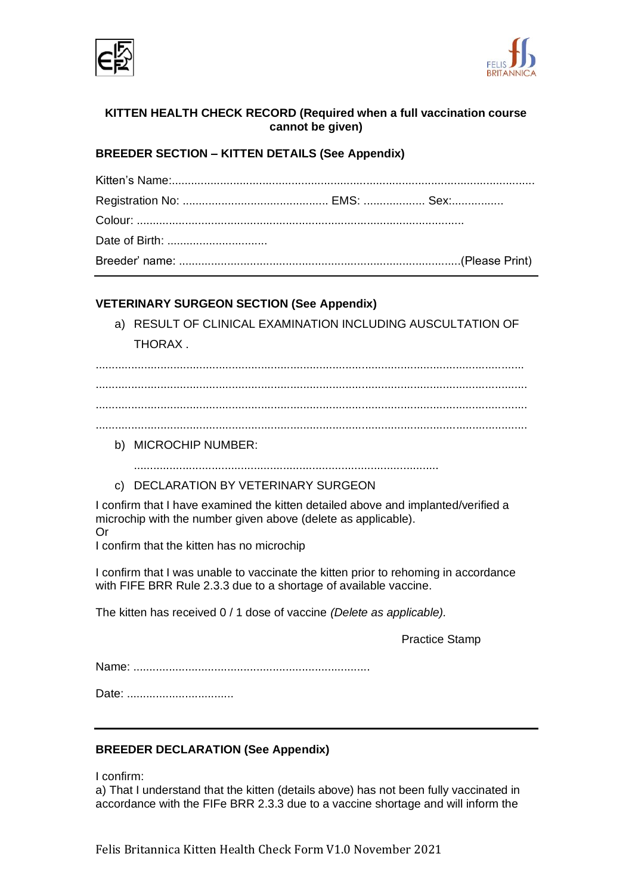



# **KITTEN HEALTH CHECK RECORD (Required when a full vaccination course cannot be given)**

# **BREEDER SECTION – KITTEN DETAILS (See Appendix)**

# **VETERINARY SURGEON SECTION (See Appendix)**

a) RESULT OF CLINICAL EXAMINATION INCLUDING AUSCULTATION OF THORAX .

....................................................................................................................................

..................................................................................................................................... ..................................................................................................................................... .....................................................................................................................................

b) MICROCHIP NUMBER:

..............................................................................................

c) DECLARATION BY VETERINARY SURGEON

I confirm that I have examined the kitten detailed above and implanted/verified a microchip with the number given above (delete as applicable).

Or

I confirm that the kitten has no microchip

I confirm that I was unable to vaccinate the kitten prior to rehoming in accordance with FIFE BRR Rule 2.3.3 due to a shortage of available vaccine.

The kitten has received 0 / 1 dose of vaccine *(Delete as applicable).*

Practice Stamp

Name: .........................................................................

Date: .................................

# **BREEDER DECLARATION (See Appendix)**

I confirm:

a) That I understand that the kitten (details above) has not been fully vaccinated in accordance with the FIFe BRR 2.3.3 due to a vaccine shortage and will inform the